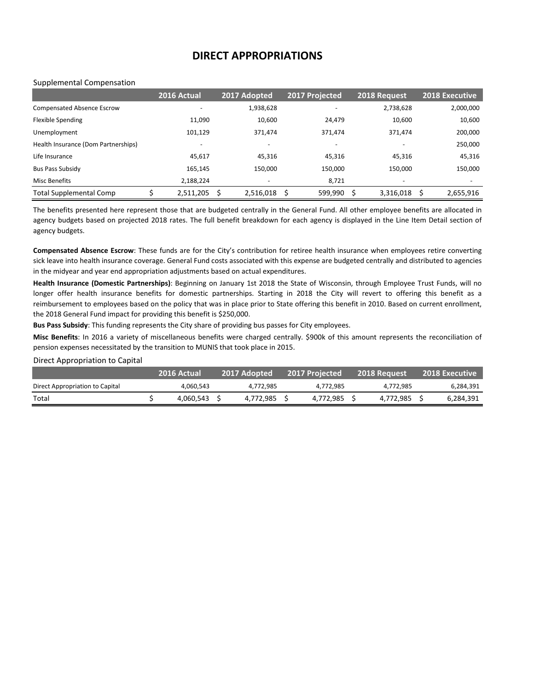# **DIRECT APPROPRIATIONS**

#### Supplemental Compensation

|                                     | 2016 Actual | 2017 Adopted             | 2017 Projected           | 2018 Request             | <b>2018 Executive</b> |
|-------------------------------------|-------------|--------------------------|--------------------------|--------------------------|-----------------------|
| <b>Compensated Absence Escrow</b>   |             | 1,938,628                | $\overline{\phantom{0}}$ | 2,738,628                | 2,000,000             |
| <b>Flexible Spending</b>            | 11,090      | 10,600                   | 24,479                   | 10,600                   | 10,600                |
| Unemployment                        | 101,129     | 371.474                  | 371,474                  | 371.474                  | 200,000               |
| Health Insurance (Dom Partnerships) |             |                          | $\overline{\phantom{m}}$ |                          | 250,000               |
| Life Insurance                      | 45,617      | 45,316                   | 45,316                   | 45,316                   | 45,316                |
| <b>Bus Pass Subsidy</b>             | 165,145     | 150,000                  | 150,000                  | 150.000                  | 150,000               |
| <b>Misc Benefits</b>                | 2,188,224   | $\overline{\phantom{0}}$ | 8,721                    | $\overline{\phantom{a}}$ |                       |
| <b>Total Supplemental Comp</b>      | 2,511,205   | 2,516,018                | 599,990<br>Ŝ.            | 3,316,018                | 2,655,916             |

The benefits presented here represent those that are budgeted centrally in the General Fund. All other employee benefits are allocated in agency budgets based on projected 2018 rates. The full benefit breakdown for each agency is displayed in the Line Item Detail section of agency budgets.

**Compensated Absence Escrow**: These funds are for the City's contribution for retiree health insurance when employees retire converting sick leave into health insurance coverage. General Fund costs associated with this expense are budgeted centrally and distributed to agencies in the midyear and year end appropriation adjustments based on actual expenditures.

**Health Insurance (Domestic Partnerships)**: Beginning on January 1st 2018 the State of Wisconsin, through Employee Trust Funds, will no longer offer health insurance benefits for domestic partnerships. Starting in 2018 the City will revert to offering this benefit as a reimbursement to employees based on the policy that was in place prior to State offering this benefit in 2010. Based on current enrollment, the 2018 General Fund impact for providing this benefit is \$250,000.

**Bus Pass Subsidy**: This funding represents the City share of providing bus passes for City employees.

**Misc Benefits**: In 2016 a variety of miscellaneous benefits were charged centrally. \$900k of this amount represents the reconciliation of pension expenses necessitated by the transition to MUNIS that took place in 2015.

# Direct Appropriation to Capital

|                                 | 2016 Actual | 2017 Adopted | 2017 Projected | 2018 Reauest | <b>2018 Executive</b> |
|---------------------------------|-------------|--------------|----------------|--------------|-----------------------|
| Direct Appropriation to Capital | 4.060.543   | 4.772.985    | 4.772.985      | 4.772.985    | 6.284.391             |
| Total                           | 4.060.543   | 4.772.985    | 4,772,985      | 4.772.985    | 6,284,391             |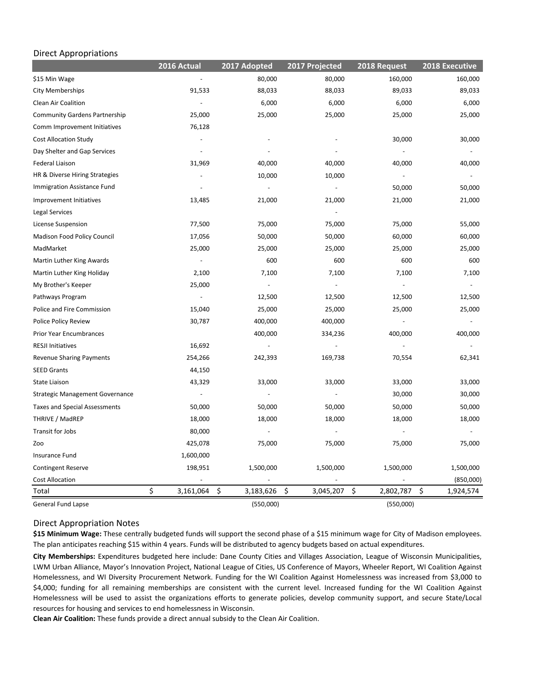## Direct Appropriations

|                                        | 2016 Actual              | 2017 Adopted             | 2017 Projected  | 2018 Request    | 2018 Executive  |
|----------------------------------------|--------------------------|--------------------------|-----------------|-----------------|-----------------|
| \$15 Min Wage                          |                          | 80,000                   | 80,000          | 160,000         | 160,000         |
| <b>City Memberships</b>                | 91,533                   | 88,033                   | 88,033          | 89,033          | 89,033          |
| Clean Air Coalition                    | $\frac{1}{2}$            | 6,000                    | 6,000           | 6,000           | 6,000           |
| <b>Community Gardens Partnership</b>   | 25,000                   | 25,000                   | 25,000          | 25,000          | 25,000          |
| Comm Improvement Initiatives           | 76,128                   |                          |                 |                 |                 |
| <b>Cost Allocation Study</b>           |                          |                          |                 | 30,000          | 30,000          |
| Day Shelter and Gap Services           |                          |                          |                 | $\Box$          |                 |
| Federal Liaison                        | 31,969                   | 40,000                   | 40,000          | 40,000          | 40,000          |
| HR & Diverse Hiring Strategies         |                          | 10,000                   | 10,000          |                 |                 |
| Immigration Assistance Fund            |                          |                          |                 | 50,000          | 50,000          |
| Improvement Initiatives                | 13,485                   | 21,000                   | 21,000          | 21,000          | 21,000          |
| Legal Services                         |                          |                          |                 |                 |                 |
| License Suspension                     | 77,500                   | 75,000                   | 75,000          | 75,000          | 55,000          |
| Madison Food Policy Council            | 17,056                   | 50,000                   | 50,000          | 60,000          | 60,000          |
| MadMarket                              | 25,000                   | 25,000                   | 25,000          | 25,000          | 25,000          |
| Martin Luther King Awards              |                          | 600                      | 600             | 600             | 600             |
| Martin Luther King Holiday             | 2,100                    | 7,100                    | 7,100           | 7,100           | 7,100           |
| My Brother's Keeper                    | 25,000                   |                          |                 |                 |                 |
| Pathways Program                       |                          | 12,500                   | 12,500          | 12,500          | 12,500          |
| Police and Fire Commission             | 15,040                   | 25,000                   | 25,000          | 25,000          | 25,000          |
| Police Policy Review                   | 30,787                   | 400,000                  | 400,000         |                 |                 |
| Prior Year Encumbrances                |                          | 400,000                  | 334,236         | 400,000         | 400,000         |
| <b>RESJI Initiatives</b>               | 16,692                   |                          |                 |                 |                 |
| Revenue Sharing Payments               | 254,266                  | 242,393                  | 169,738         | 70,554          | 62,341          |
| <b>SEED Grants</b>                     | 44,150                   |                          |                 |                 |                 |
| <b>State Liaison</b>                   | 43,329                   | 33,000                   | 33,000          | 33,000          | 33,000          |
| <b>Strategic Management Governance</b> | $\overline{\phantom{a}}$ | $\overline{\phantom{a}}$ | $\blacksquare$  | 30,000          | 30,000          |
| <b>Taxes and Special Assessments</b>   | 50,000                   | 50,000                   | 50,000          | 50,000          | 50,000          |
| THRIVE / MadREP                        | 18,000                   | 18,000                   | 18,000          | 18,000          | 18,000          |
| Transit for Jobs                       | 80,000                   | $\overline{\phantom{a}}$ |                 |                 | $\overline{a}$  |
| Zoo                                    | 425,078                  | 75,000                   | 75,000          | 75,000          | 75,000          |
| Insurance Fund                         | 1,600,000                |                          |                 |                 |                 |
| <b>Contingent Reserve</b>              | 198,951                  | 1,500,000                | 1,500,000       | 1,500,000       | 1,500,000       |
| <b>Cost Allocation</b>                 |                          |                          |                 |                 | (850,000)       |
| Total                                  | \$<br>3,161,064          | \$<br>3,183,626          | \$<br>3,045,207 | \$<br>2,802,787 | \$<br>1,924,574 |
| <b>General Fund Lapse</b>              |                          | (550,000)                |                 | (550,000)       |                 |

Direct Appropriation Notes

**\$15 Minimum Wage:** These centrally budgeted funds will support the second phase of a \$15 minimum wage for City of Madison employees. The plan anticipates reaching \$15 within 4 years. Funds will be distributed to agency budgets based on actual expenditures.

**City Memberships:** Expenditures budgeted here include: Dane County Cities and Villages Association, League of Wisconsin Municipalities, LWM Urban Alliance, Mayor's Innovation Project, National League of Cities, US Conference of Mayors, Wheeler Report, WI Coalition Against Homelessness, and WI Diversity Procurement Network. Funding for the WI Coalition Against Homelessness was increased from \$3,000 to \$4,000; funding for all remaining memberships are consistent with the current level. Increased funding for the WI Coalition Against Homelessness will be used to assist the organizations efforts to generate policies, develop community support, and secure State/Local resources for housing and services to end homelessness in Wisconsin.

**Clean Air Coalition:** These funds provide a direct annual subsidy to the Clean Air Coalition.